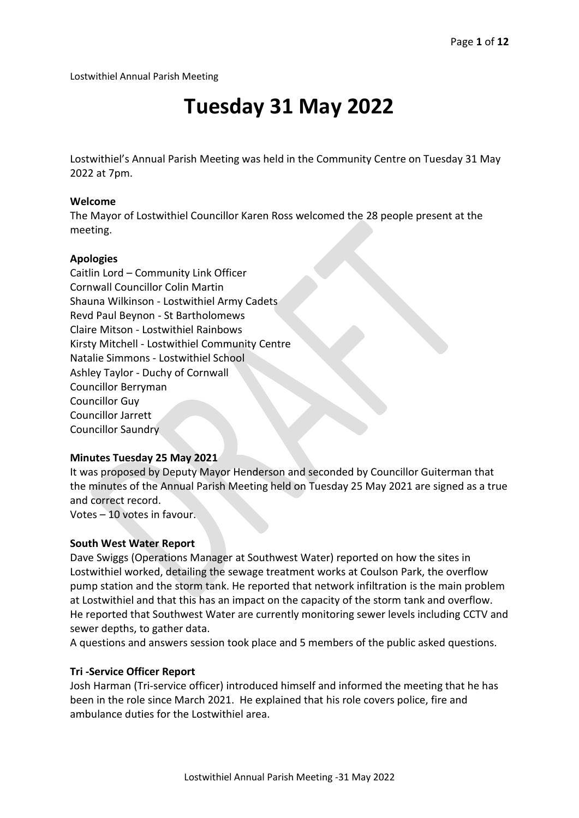Lostwithiel Annual Parish Meeting

# **Tuesday 31 May 2022**

Lostwithiel's Annual Parish Meeting was held in the Community Centre on Tuesday 31 May 2022 at 7pm.

#### **Welcome**

The Mayor of Lostwithiel Councillor Karen Ross welcomed the 28 people present at the meeting.

#### **Apologies**

Caitlin Lord – Community Link Officer Cornwall Councillor Colin Martin Shauna Wilkinson - Lostwithiel Army Cadets Revd Paul Beynon - St Bartholomews Claire Mitson - Lostwithiel Rainbows Kirsty Mitchell - Lostwithiel Community Centre Natalie Simmons - Lostwithiel School Ashley Taylor - Duchy of Cornwall Councillor Berryman Councillor Guy Councillor Jarrett Councillor Saundry

#### **Minutes Tuesday 25 May 2021**

It was proposed by Deputy Mayor Henderson and seconded by Councillor Guiterman that the minutes of the Annual Parish Meeting held on Tuesday 25 May 2021 are signed as a true and correct record.

Votes – 10 votes in favour.

#### **South West Water Report**

Dave Swiggs (Operations Manager at Southwest Water) reported on how the sites in Lostwithiel worked, detailing the sewage treatment works at Coulson Park, the overflow pump station and the storm tank. He reported that network infiltration is the main problem at Lostwithiel and that this has an impact on the capacity of the storm tank and overflow. He reported that Southwest Water are currently monitoring sewer levels including CCTV and sewer depths, to gather data.

A questions and answers session took place and 5 members of the public asked questions.

#### **Tri -Service Officer Report**

Josh Harman (Tri-service officer) introduced himself and informed the meeting that he has been in the role since March 2021. He explained that his role covers police, fire and ambulance duties for the Lostwithiel area.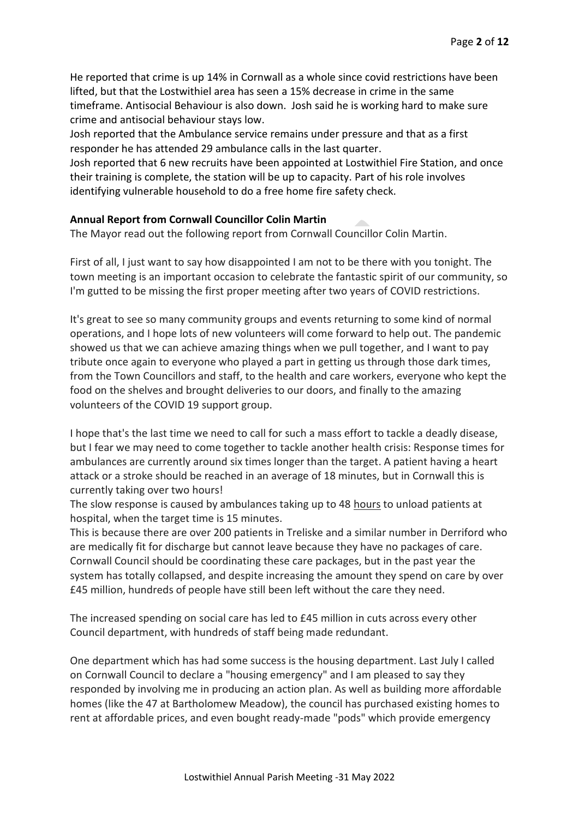He reported that crime is up 14% in Cornwall as a whole since covid restrictions have been lifted, but that the Lostwithiel area has seen a 15% decrease in crime in the same timeframe. Antisocial Behaviour is also down. Josh said he is working hard to make sure crime and antisocial behaviour stays low.

Josh reported that the Ambulance service remains under pressure and that as a first responder he has attended 29 ambulance calls in the last quarter.

Josh reported that 6 new recruits have been appointed at Lostwithiel Fire Station, and once their training is complete, the station will be up to capacity. Part of his role involves identifying vulnerable household to do a free home fire safety check.

## **Annual Report from Cornwall Councillor Colin Martin**

The Mayor read out the following report from Cornwall Councillor Colin Martin.

First of all, I just want to say how disappointed I am not to be there with you tonight. The town meeting is an important occasion to celebrate the fantastic spirit of our community, so I'm gutted to be missing the first proper meeting after two years of COVID restrictions.

It's great to see so many community groups and events returning to some kind of normal operations, and I hope lots of new volunteers will come forward to help out. The pandemic showed us that we can achieve amazing things when we pull together, and I want to pay tribute once again to everyone who played a part in getting us through those dark times, from the Town Councillors and staff, to the health and care workers, everyone who kept the food on the shelves and brought deliveries to our doors, and finally to the amazing volunteers of the COVID 19 support group.

I hope that's the last time we need to call for such a mass effort to tackle a deadly disease, but I fear we may need to come together to tackle another health crisis: Response times for ambulances are currently around six times longer than the target. A patient having a heart attack or a stroke should be reached in an average of 18 minutes, but in Cornwall this is currently taking over two hours!

The slow response is caused by ambulances taking up to 48 hours to unload patients at hospital, when the target time is 15 minutes.

This is because there are over 200 patients in Treliske and a similar number in Derriford who are medically fit for discharge but cannot leave because they have no packages of care. Cornwall Council should be coordinating these care packages, but in the past year the system has totally collapsed, and despite increasing the amount they spend on care by over £45 million, hundreds of people have still been left without the care they need.

The increased spending on social care has led to £45 million in cuts across every other Council department, with hundreds of staff being made redundant.

One department which has had some success is the housing department. Last July I called on Cornwall Council to declare a "housing emergency" and I am pleased to say they responded by involving me in producing an action plan. As well as building more affordable homes (like the 47 at Bartholomew Meadow), the council has purchased existing homes to rent at affordable prices, and even bought ready-made "pods" which provide emergency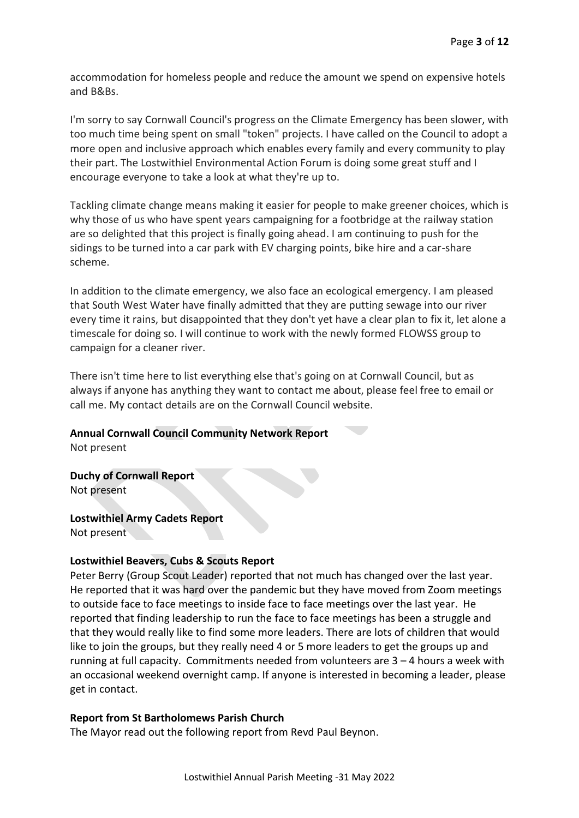accommodation for homeless people and reduce the amount we spend on expensive hotels and B&Bs.

I'm sorry to say Cornwall Council's progress on the Climate Emergency has been slower, with too much time being spent on small "token" projects. I have called on the Council to adopt a more open and inclusive approach which enables every family and every community to play their part. The Lostwithiel Environmental Action Forum is doing some great stuff and I encourage everyone to take a look at what they're up to.

Tackling climate change means making it easier for people to make greener choices, which is why those of us who have spent years campaigning for a footbridge at the railway station are so delighted that this project is finally going ahead. I am continuing to push for the sidings to be turned into a car park with EV charging points, bike hire and a car-share scheme.

In addition to the climate emergency, we also face an ecological emergency. I am pleased that South West Water have finally admitted that they are putting sewage into our river every time it rains, but disappointed that they don't yet have a clear plan to fix it, let alone a timescale for doing so. I will continue to work with the newly formed FLOWSS group to campaign for a cleaner river.

There isn't time here to list everything else that's going on at Cornwall Council, but as always if anyone has anything they want to contact me about, please feel free to email or call me. My contact details are on the Cornwall Council website.

#### **Annual Cornwall Council Community Network Report**

Not present

#### **Duchy of Cornwall Report**

Not present

#### **Lostwithiel Army Cadets Report**

Not present

#### **Lostwithiel Beavers, Cubs & Scouts Report**

Peter Berry (Group Scout Leader) reported that not much has changed over the last year. He reported that it was hard over the pandemic but they have moved from Zoom meetings to outside face to face meetings to inside face to face meetings over the last year. He reported that finding leadership to run the face to face meetings has been a struggle and that they would really like to find some more leaders. There are lots of children that would like to join the groups, but they really need 4 or 5 more leaders to get the groups up and running at full capacity. Commitments needed from volunteers are  $3 - 4$  hours a week with an occasional weekend overnight camp. If anyone is interested in becoming a leader, please get in contact.

#### **Report from St Bartholomews Parish Church**

The Mayor read out the following report from Revd Paul Beynon.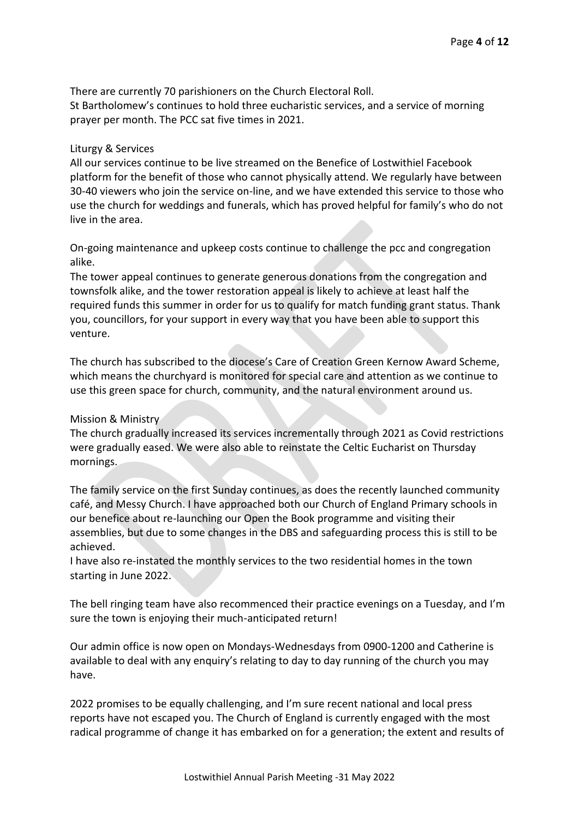There are currently 70 parishioners on the Church Electoral Roll. St Bartholomew's continues to hold three eucharistic services, and a service of morning prayer per month. The PCC sat five times in 2021.

## Liturgy & Services

All our services continue to be live streamed on the Benefice of Lostwithiel Facebook platform for the benefit of those who cannot physically attend. We regularly have between 30-40 viewers who join the service on-line, and we have extended this service to those who use the church for weddings and funerals, which has proved helpful for family's who do not live in the area.

On-going maintenance and upkeep costs continue to challenge the pcc and congregation alike.

The tower appeal continues to generate generous donations from the congregation and townsfolk alike, and the tower restoration appeal is likely to achieve at least half the required funds this summer in order for us to qualify for match funding grant status. Thank you, councillors, for your support in every way that you have been able to support this venture.

The church has subscribed to the diocese's Care of Creation Green Kernow Award Scheme, which means the churchyard is monitored for special care and attention as we continue to use this green space for church, community, and the natural environment around us.

Mission & Ministry

The church gradually increased its services incrementally through 2021 as Covid restrictions were gradually eased. We were also able to reinstate the Celtic Eucharist on Thursday mornings.

The family service on the first Sunday continues, as does the recently launched community café, and Messy Church. I have approached both our Church of England Primary schools in our benefice about re-launching our Open the Book programme and visiting their assemblies, but due to some changes in the DBS and safeguarding process this is still to be achieved.

I have also re-instated the monthly services to the two residential homes in the town starting in June 2022.

The bell ringing team have also recommenced their practice evenings on a Tuesday, and I'm sure the town is enjoying their much-anticipated return!

Our admin office is now open on Mondays-Wednesdays from 0900-1200 and Catherine is available to deal with any enquiry's relating to day to day running of the church you may have.

2022 promises to be equally challenging, and I'm sure recent national and local press reports have not escaped you. The Church of England is currently engaged with the most radical programme of change it has embarked on for a generation; the extent and results of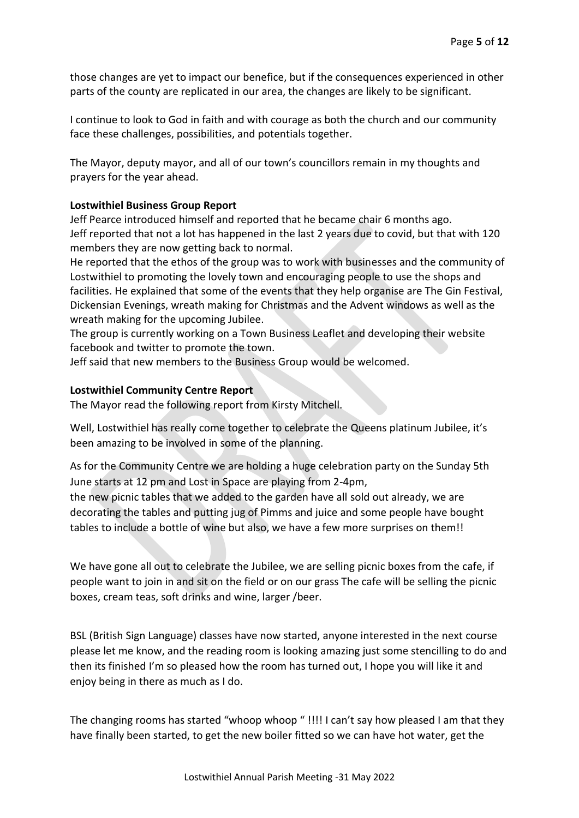those changes are yet to impact our benefice, but if the consequences experienced in other parts of the county are replicated in our area, the changes are likely to be significant.

I continue to look to God in faith and with courage as both the church and our community face these challenges, possibilities, and potentials together.

The Mayor, deputy mayor, and all of our town's councillors remain in my thoughts and prayers for the year ahead.

## **Lostwithiel Business Group Report**

Jeff Pearce introduced himself and reported that he became chair 6 months ago. Jeff reported that not a lot has happened in the last 2 years due to covid, but that with 120 members they are now getting back to normal.

He reported that the ethos of the group was to work with businesses and the community of Lostwithiel to promoting the lovely town and encouraging people to use the shops and facilities. He explained that some of the events that they help organise are The Gin Festival, Dickensian Evenings, wreath making for Christmas and the Advent windows as well as the wreath making for the upcoming Jubilee.

The group is currently working on a Town Business Leaflet and developing their website facebook and twitter to promote the town.

Jeff said that new members to the Business Group would be welcomed.

## **Lostwithiel Community Centre Report**

The Mayor read the following report from Kirsty Mitchell.

Well, Lostwithiel has really come together to celebrate the Queens platinum Jubilee, it's been amazing to be involved in some of the planning.

As for the Community Centre we are holding a huge celebration party on the Sunday 5th June starts at 12 pm and Lost in Space are playing from 2-4pm,

the new picnic tables that we added to the garden have all sold out already, we are decorating the tables and putting jug of Pimms and juice and some people have bought tables to include a bottle of wine but also, we have a few more surprises on them!!

We have gone all out to celebrate the Jubilee, we are selling picnic boxes from the cafe, if people want to join in and sit on the field or on our grass The cafe will be selling the picnic boxes, cream teas, soft drinks and wine, larger /beer.

BSL (British Sign Language) classes have now started, anyone interested in the next course please let me know, and the reading room is looking amazing just some stencilling to do and then its finished I'm so pleased how the room has turned out, I hope you will like it and enjoy being in there as much as I do.

The changing rooms has started "whoop whoop " !!!! I can't say how pleased I am that they have finally been started, to get the new boiler fitted so we can have hot water, get the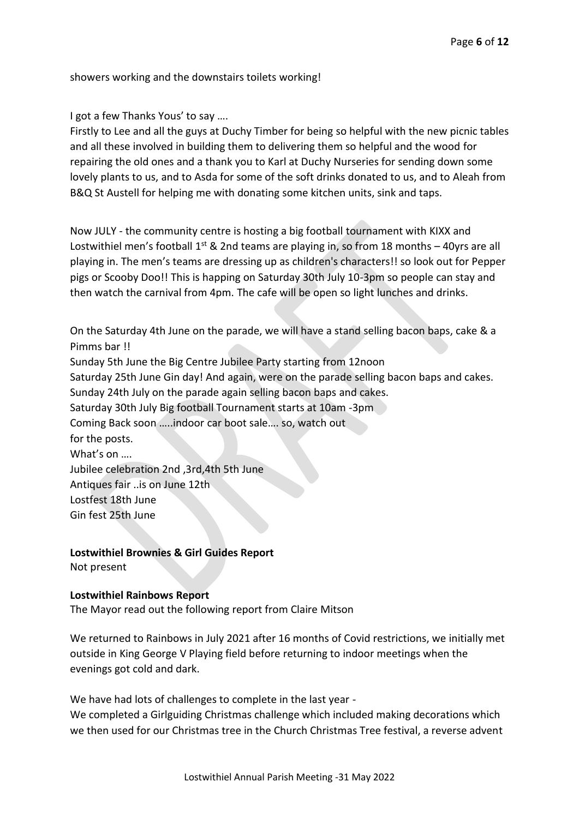showers working and the downstairs toilets working!

I got a few Thanks Yous' to say ….

Firstly to Lee and all the guys at Duchy Timber for being so helpful with the new picnic tables and all these involved in building them to delivering them so helpful and the wood for repairing the old ones and a thank you to Karl at Duchy Nurseries for sending down some lovely plants to us, and to Asda for some of the soft drinks donated to us, and to Aleah from B&Q St Austell for helping me with donating some kitchen units, sink and taps.

Now JULY - the community centre is hosting a big football tournament with KIXX and Lostwithiel men's football  $1^{st}$  & 2nd teams are playing in, so from 18 months - 40yrs are all playing in. The men's teams are dressing up as children's characters!! so look out for Pepper pigs or Scooby Doo!! This is happing on Saturday 30th July 10-3pm so people can stay and then watch the carnival from 4pm. The cafe will be open so light lunches and drinks.

On the Saturday 4th June on the parade, we will have a stand selling bacon baps, cake & a Pimms bar !! Sunday 5th June the Big Centre Jubilee Party starting from 12noon Saturday 25th June Gin day! And again, were on the parade selling bacon baps and cakes. Sunday 24th July on the parade again selling bacon baps and cakes. Saturday 30th July Big football Tournament starts at 10am -3pm Coming Back soon …..indoor car boot sale…. so, watch out for the posts. What's on …. Jubilee celebration 2nd ,3rd,4th 5th June Antiques fair ..is on June 12th Lostfest 18th June Gin fest 25th June

**Lostwithiel Brownies & Girl Guides Report** 

Not present

#### **Lostwithiel Rainbows Report**

The Mayor read out the following report from Claire Mitson

We returned to Rainbows in July 2021 after 16 months of Covid restrictions, we initially met outside in King George V Playing field before returning to indoor meetings when the evenings got cold and dark.

We have had lots of challenges to complete in the last year -

We completed a Girlguiding Christmas challenge which included making decorations which we then used for our Christmas tree in the Church Christmas Tree festival, a reverse advent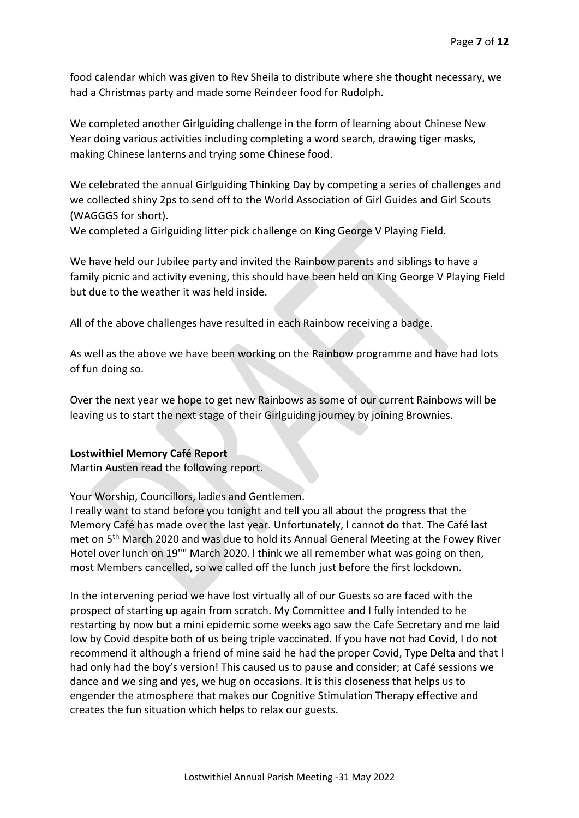food calendar which was given to Rev Sheila to distribute where she thought necessary, we had a Christmas party and made some Reindeer food for Rudolph.

We completed another Girlguiding challenge in the form of learning about Chinese New Year doing various activities including completing a word search, drawing tiger masks, making Chinese lanterns and trying some Chinese food.

We celebrated the annual Girlguiding Thinking Day by competing a series of challenges and we collected shiny 2ps to send off to the World Association of Girl Guides and Girl Scouts (WAGGGS for short).

We completed a Girlguiding litter pick challenge on King George V Playing Field.

We have held our Jubilee party and invited the Rainbow parents and siblings to have a family picnic and activity evening, this should have been held on King George V Playing Field but due to the weather it was held inside.

All of the above challenges have resulted in each Rainbow receiving a badge.

As well as the above we have been working on the Rainbow programme and have had lots of fun doing so.

Over the next year we hope to get new Rainbows as some of our current Rainbows will be leaving us to start the next stage of their Girlguiding journey by joining Brownies.

## **Lostwithiel Memory Café Report**

Martin Austen read the following report.

Your Worship, Councillors, ladies and Gentlemen.

I really want to stand before you tonight and tell you all about the progress that the Memory Café has made over the last year. Unfortunately, l cannot do that. The Café last met on 5th March 2020 and was due to hold its Annual General Meeting at the Fowey River Hotel over lunch on 19"" March 2020. l think we all remember what was going on then, most Members cancelled, so we called off the lunch just before the first lockdown.

In the intervening period we have lost virtually all of our Guests so are faced with the prospect of starting up again from scratch. My Committee and I fully intended to he restarting by now but a mini epidemic some weeks ago saw the Cafe Secretary and me laid low by Covid despite both of us being triple vaccinated. If you have not had Covid, I do not recommend it although a friend of mine said he had the proper Covid, Type Delta and that l had only had the boy's version! This caused us to pause and consider; at Café sessions we dance and we sing and yes, we hug on occasions. It is this closeness that helps us to engender the atmosphere that makes our Cognitive Stimulation Therapy effective and creates the fun situation which helps to relax our guests.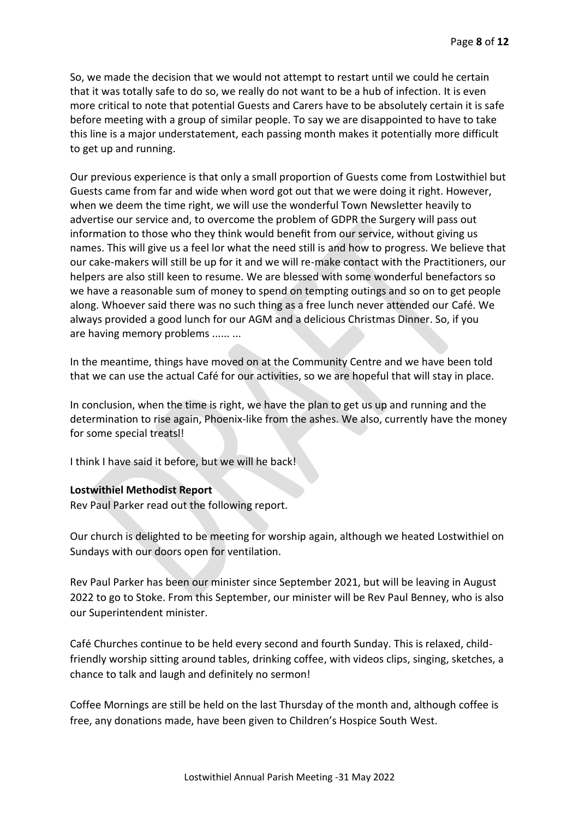So, we made the decision that we would not attempt to restart until we could he certain that it was totally safe to do so, we really do not want to be a hub of infection. It is even more critical to note that potential Guests and Carers have to be absolutely certain it is safe before meeting with a group of similar people. To say we are disappointed to have to take this line is a major understatement, each passing month makes it potentially more difficult to get up and running.

Our previous experience is that only a small proportion of Guests come from Lostwithiel but Guests came from far and wide when word got out that we were doing it right. However, when we deem the time right, we will use the wonderful Town Newsletter heavily to advertise our service and, to overcome the problem of GDPR the Surgery will pass out information to those who they think would benefit from our service, without giving us names. This will give us a feel lor what the need still is and how to progress. We believe that our cake-makers will still be up for it and we will re-make contact with the Practitioners, our helpers are also still keen to resume. We are blessed with some wonderful benefactors so we have a reasonable sum of money to spend on tempting outings and so on to get people along. Whoever said there was no such thing as a free lunch never attended our Café. We always provided a good lunch for our AGM and a delicious Christmas Dinner. So, if you are having memory problems ...... ...

In the meantime, things have moved on at the Community Centre and we have been told that we can use the actual Café for our activities, so we are hopeful that will stay in place.

In conclusion, when the time is right, we have the plan to get us up and running and the determination to rise again, Phoenix-like from the ashes. We also, currently have the money for some special treatsl!

I think I have said it before, but we will he back!

## **Lostwithiel Methodist Report**

Rev Paul Parker read out the following report.

Our church is delighted to be meeting for worship again, although we heated Lostwithiel on Sundays with our doors open for ventilation.

Rev Paul Parker has been our minister since September 2021, but will be leaving in August 2022 to go to Stoke. From this September, our minister will be Rev Paul Benney, who is also our Superintendent minister.

Café Churches continue to be held every second and fourth Sunday. This is relaxed, childfriendly worship sitting around tables, drinking coffee, with videos clips, singing, sketches, a chance to talk and laugh and definitely no sermon!

Coffee Mornings are still be held on the last Thursday of the month and, although coffee is free, any donations made, have been given to Children's Hospice South West.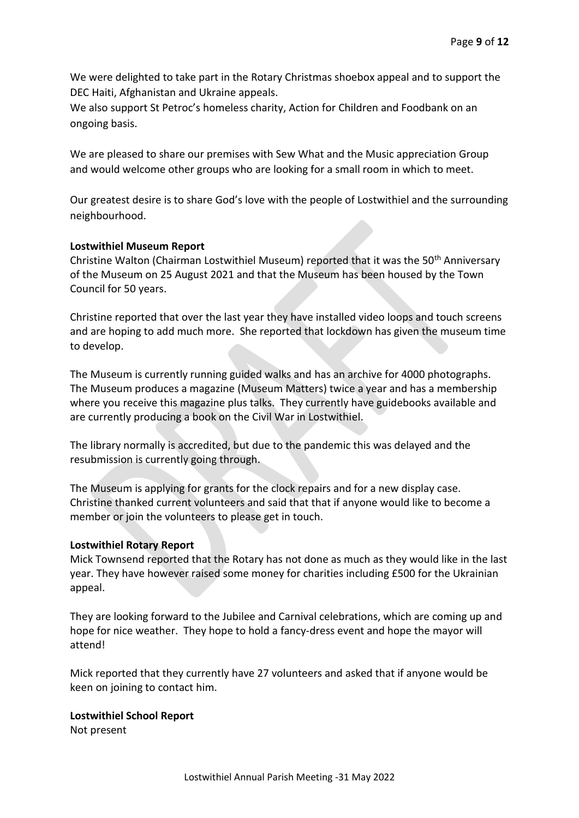We were delighted to take part in the Rotary Christmas shoebox appeal and to support the DEC Haiti, Afghanistan and Ukraine appeals.

We also support St Petroc's homeless charity, Action for Children and Foodbank on an ongoing basis.

We are pleased to share our premises with Sew What and the Music appreciation Group and would welcome other groups who are looking for a small room in which to meet.

Our greatest desire is to share God's love with the people of Lostwithiel and the surrounding neighbourhood.

## **Lostwithiel Museum Report**

Christine Walton (Chairman Lostwithiel Museum) reported that it was the 50<sup>th</sup> Anniversary of the Museum on 25 August 2021 and that the Museum has been housed by the Town Council for 50 years.

Christine reported that over the last year they have installed video loops and touch screens and are hoping to add much more. She reported that lockdown has given the museum time to develop.

The Museum is currently running guided walks and has an archive for 4000 photographs. The Museum produces a magazine (Museum Matters) twice a year and has a membership where you receive this magazine plus talks. They currently have guidebooks available and are currently producing a book on the Civil War in Lostwithiel.

The library normally is accredited, but due to the pandemic this was delayed and the resubmission is currently going through.

The Museum is applying for grants for the clock repairs and for a new display case. Christine thanked current volunteers and said that that if anyone would like to become a member or join the volunteers to please get in touch.

## **Lostwithiel Rotary Report**

Mick Townsend reported that the Rotary has not done as much as they would like in the last year. They have however raised some money for charities including £500 for the Ukrainian appeal.

They are looking forward to the Jubilee and Carnival celebrations, which are coming up and hope for nice weather. They hope to hold a fancy-dress event and hope the mayor will attend!

Mick reported that they currently have 27 volunteers and asked that if anyone would be keen on joining to contact him.

## **Lostwithiel School Report**

Not present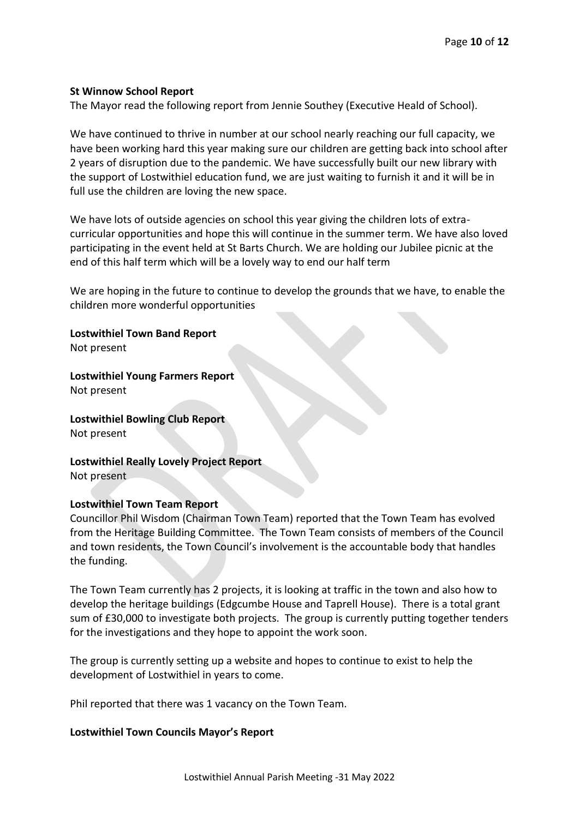## **St Winnow School Report**

The Mayor read the following report from Jennie Southey (Executive Heald of School).

We have continued to thrive in number at our school nearly reaching our full capacity, we have been working hard this year making sure our children are getting back into school after 2 years of disruption due to the pandemic. We have successfully built our new library with the support of Lostwithiel education fund, we are just waiting to furnish it and it will be in full use the children are loving the new space.

We have lots of outside agencies on school this year giving the children lots of extracurricular opportunities and hope this will continue in the summer term. We have also loved participating in the event held at St Barts Church. We are holding our Jubilee picnic at the end of this half term which will be a lovely way to end our half term

We are hoping in the future to continue to develop the grounds that we have, to enable the children more wonderful opportunities

**Lostwithiel Town Band Report** Not present

**Lostwithiel Young Farmers Report** Not present

**Lostwithiel Bowling Club Report** Not present

**Lostwithiel Really Lovely Project Report** Not present

#### **Lostwithiel Town Team Report**

Councillor Phil Wisdom (Chairman Town Team) reported that the Town Team has evolved from the Heritage Building Committee. The Town Team consists of members of the Council and town residents, the Town Council's involvement is the accountable body that handles the funding.

The Town Team currently has 2 projects, it is looking at traffic in the town and also how to develop the heritage buildings (Edgcumbe House and Taprell House). There is a total grant sum of £30,000 to investigate both projects. The group is currently putting together tenders for the investigations and they hope to appoint the work soon.

The group is currently setting up a website and hopes to continue to exist to help the development of Lostwithiel in years to come.

Phil reported that there was 1 vacancy on the Town Team.

## **Lostwithiel Town Councils Mayor's Report**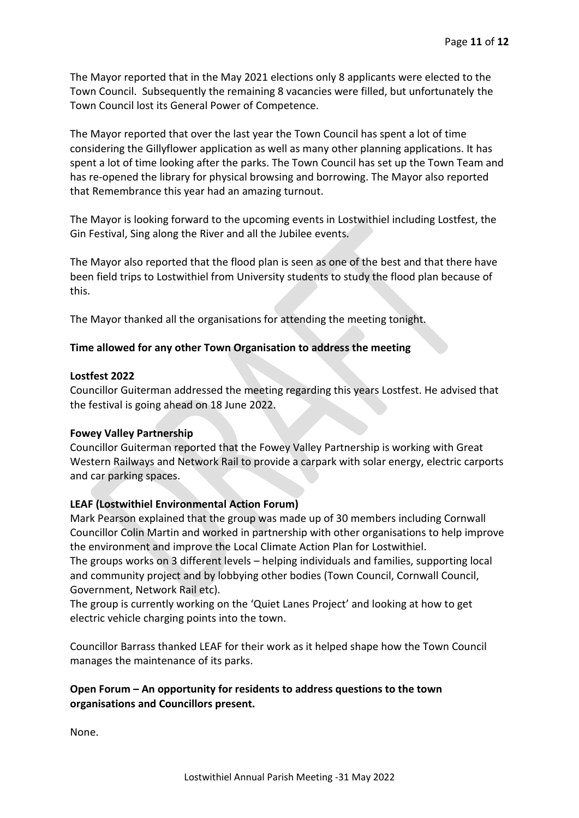The Mayor reported that in the May 2021 elections only 8 applicants were elected to the Town Council. Subsequently the remaining 8 vacancies were filled, but unfortunately the Town Council lost its General Power of Competence.

The Mayor reported that over the last year the Town Council has spent a lot of time considering the Gillyflower application as well as many other planning applications. It has spent a lot of time looking after the parks. The Town Council has set up the Town Team and has re-opened the library for physical browsing and borrowing. The Mayor also reported that Remembrance this year had an amazing turnout.

The Mayor is looking forward to the upcoming events in Lostwithiel including Lostfest, the Gin Festival, Sing along the River and all the Jubilee events.

The Mayor also reported that the flood plan is seen as one of the best and that there have been field trips to Lostwithiel from University students to study the flood plan because of this.

The Mayor thanked all the organisations for attending the meeting tonight.

## **Time allowed for any other Town Organisation to address the meeting**

## **Lostfest 2022**

Councillor Guiterman addressed the meeting regarding this years Lostfest. He advised that the festival is going ahead on 18 June 2022.

## **Fowey Valley Partnership**

Councillor Guiterman reported that the Fowey Valley Partnership is working with Great Western Railways and Network Rail to provide a carpark with solar energy, electric carports and car parking spaces.

## **LEAF (Lostwithiel Environmental Action Forum)**

Mark Pearson explained that the group was made up of 30 members including Cornwall Councillor Colin Martin and worked in partnership with other organisations to help improve the environment and improve the Local Climate Action Plan for Lostwithiel. The groups works on 3 different levels – helping individuals and families, supporting local

and community project and by lobbying other bodies (Town Council, Cornwall Council, Government, Network Rail etc).

The group is currently working on the 'Quiet Lanes Project' and looking at how to get electric vehicle charging points into the town.

Councillor Barrass thanked LEAF for their work as it helped shape how the Town Council manages the maintenance of its parks.

## **Open Forum – An opportunity for residents to address questions to the town organisations and Councillors present.**

None.